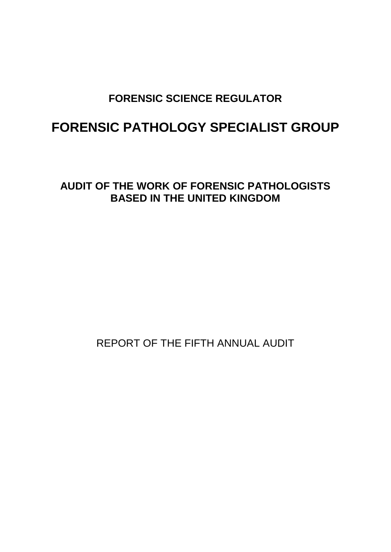# **FORENSIC SCIENCE REGULATOR**

# **FORENSIC PATHOLOGY SPECIALIST GROUP**

**AUDIT OF THE WORK OF FORENSIC PATHOLOGISTS BASED IN THE UNITED KINGDOM**

REPORT OF THE FIFTH ANNUAL AUDIT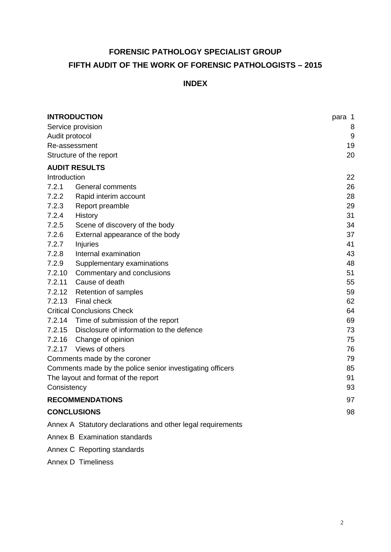# **FORENSIC PATHOLOGY SPECIALIST GROUP FIFTH AUDIT OF THE WORK OF FORENSIC PATHOLOGISTS – 2015**

# **INDEX**

|                                     | <b>INTRODUCTION</b>                                         | para 1 |  |  |
|-------------------------------------|-------------------------------------------------------------|--------|--|--|
| Service provision                   |                                                             |        |  |  |
| Audit protocol                      |                                                             |        |  |  |
| Re-assessment                       |                                                             |        |  |  |
|                                     | Structure of the report                                     | 20     |  |  |
|                                     | <b>AUDIT RESULTS</b>                                        |        |  |  |
| Introduction                        |                                                             | 22     |  |  |
| 7.2.1                               | General comments                                            | 26     |  |  |
| 7.2.2                               | Rapid interim account                                       | 28     |  |  |
| 7.2.3                               | Report preamble                                             | 29     |  |  |
| 7.2.4                               | History                                                     | 31     |  |  |
| 7.2.5                               | Scene of discovery of the body                              | 34     |  |  |
| 7.2.6                               | External appearance of the body                             | 37     |  |  |
| 7.2.7                               | Injuries                                                    | 41     |  |  |
| 7.2.8                               | Internal examination                                        | 43     |  |  |
| 7.2.9                               | Supplementary examinations                                  | 48     |  |  |
|                                     | 7.2.10 Commentary and conclusions                           | 51     |  |  |
| 7.2.11                              | Cause of death                                              | 55     |  |  |
|                                     | 7.2.12 Retention of samples                                 | 59     |  |  |
| 7.2.13                              | <b>Final check</b>                                          | 62     |  |  |
|                                     | <b>Critical Conclusions Check</b>                           | 64     |  |  |
|                                     | 7.2.14 Time of submission of the report                     | 69     |  |  |
|                                     | 7.2.15 Disclosure of information to the defence             | 73     |  |  |
|                                     | 7.2.16 Change of opinion                                    | 75     |  |  |
| 7.2.17                              | Views of others                                             | 76     |  |  |
|                                     | Comments made by the coroner                                | 79     |  |  |
|                                     | Comments made by the police senior investigating officers   | 85     |  |  |
| The layout and format of the report |                                                             |        |  |  |
| Consistency                         |                                                             | 93     |  |  |
|                                     | <b>RECOMMENDATIONS</b>                                      | 97     |  |  |
| <b>CONCLUSIONS</b><br>98            |                                                             |        |  |  |
|                                     | Annex A Statutory declarations and other legal requirements |        |  |  |
|                                     | Annex B Examination standards                               |        |  |  |

Annex C Reporting standards

# Annex D Timeliness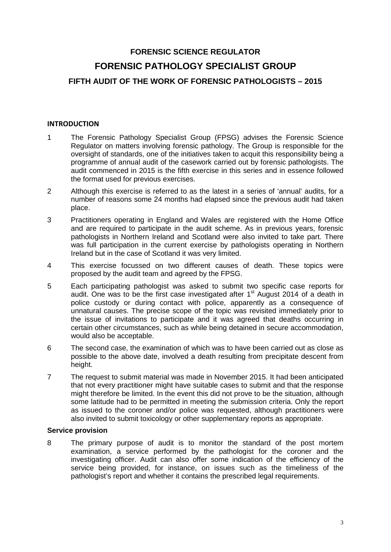# **FORENSIC SCIENCE REGULATOR FORENSIC PATHOLOGY SPECIALIST GROUP FIFTH AUDIT OF THE WORK OF FORENSIC PATHOLOGISTS – 2015**

#### **INTRODUCTION**

- 1 The Forensic Pathology Specialist Group (FPSG) advises the Forensic Science Regulator on matters involving forensic pathology. The Group is responsible for the oversight of standards, one of the initiatives taken to acquit this responsibility being a programme of annual audit of the casework carried out by forensic pathologists. The audit commenced in 2015 is the fifth exercise in this series and in essence followed the format used for previous exercises.
- 2 Although this exercise is referred to as the latest in a series of 'annual' audits, for a number of reasons some 24 months had elapsed since the previous audit had taken place.
- 3 Practitioners operating in England and Wales are registered with the Home Office and are required to participate in the audit scheme. As in previous years, forensic pathologists in Northern Ireland and Scotland were also invited to take part. There was full participation in the current exercise by pathologists operating in Northern Ireland but in the case of Scotland it was very limited.
- 4 This exercise focussed on two different causes of death. These topics were proposed by the audit team and agreed by the FPSG.
- 5 Each participating pathologist was asked to submit two specific case reports for audit. One was to be the first case investigated after  $1<sup>st</sup>$  August 2014 of a death in police custody or during contact with police, apparently as a consequence of unnatural causes. The precise scope of the topic was revisited immediately prior to the issue of invitations to participate and it was agreed that deaths occurring in certain other circumstances, such as while being detained in secure accommodation, would also be acceptable.
- 6 The second case, the examination of which was to have been carried out as close as possible to the above date, involved a death resulting from precipitate descent from height.
- 7 The request to submit material was made in November 2015. It had been anticipated that not every practitioner might have suitable cases to submit and that the response might therefore be limited. In the event this did not prove to be the situation, although some latitude had to be permitted in meeting the submission criteria. Only the report as issued to the coroner and/or police was requested, although practitioners were also invited to submit toxicology or other supplementary reports as appropriate.

#### **Service provision**

8 The primary purpose of audit is to monitor the standard of the post mortem examination, a service performed by the pathologist for the coroner and the investigating officer. Audit can also offer some indication of the efficiency of the service being provided, for instance, on issues such as the timeliness of the pathologist's report and whether it contains the prescribed legal requirements.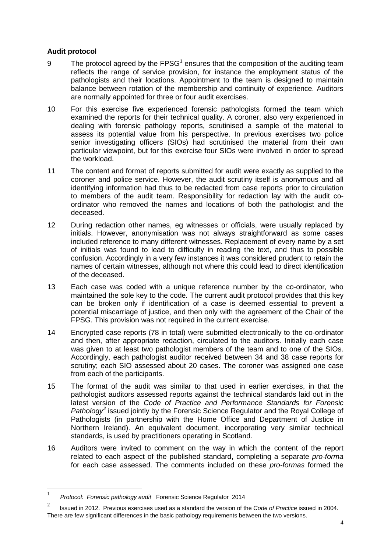#### **Audit protocol**

- 9 The protocol agreed by the  $FPSG<sup>1</sup>$  $FPSG<sup>1</sup>$  $FPSG<sup>1</sup>$  ensures that the composition of the auditing team reflects the range of service provision, for instance the employment status of the pathologists and their locations. Appointment to the team is designed to maintain balance between rotation of the membership and continuity of experience. Auditors are normally appointed for three or four audit exercises.
- 10 For this exercise five experienced forensic pathologists formed the team which examined the reports for their technical quality. A coroner, also very experienced in dealing with forensic pathology reports, scrutinised a sample of the material to assess its potential value from his perspective. In previous exercises two police senior investigating officers (SIOs) had scrutinised the material from their own particular viewpoint, but for this exercise four SIOs were involved in order to spread the workload.
- 11 The content and format of reports submitted for audit were exactly as supplied to the coroner and police service. However, the audit scrutiny itself is anonymous and all identifying information had thus to be redacted from case reports prior to circulation to members of the audit team. Responsibility for redaction lay with the audit coordinator who removed the names and locations of both the pathologist and the deceased.
- 12 During redaction other names, eg witnesses or officials, were usually replaced by initials. However, anonymisation was not always straightforward as some cases included reference to many different witnesses. Replacement of every name by a set of initials was found to lead to difficulty in reading the text, and thus to possible confusion. Accordingly in a very few instances it was considered prudent to retain the names of certain witnesses, although not where this could lead to direct identification of the deceased.
- 13 Each case was coded with a unique reference number by the co-ordinator, who maintained the sole key to the code. The current audit protocol provides that this key can be broken only if identification of a case is deemed essential to prevent a potential miscarriage of justice, and then only with the agreement of the Chair of the FPSG. This provision was not required in the current exercise.
- 14 Encrypted case reports (78 in total) were submitted electronically to the co-ordinator and then, after appropriate redaction, circulated to the auditors. Initially each case was given to at least two pathologist members of the team and to one of the SIOs. Accordingly, each pathologist auditor received between 34 and 38 case reports for scrutiny; each SIO assessed about 20 cases. The coroner was assigned one case from each of the participants.
- 15 The format of the audit was similar to that used in earlier exercises, in that the pathologist auditors assessed reports against the technical standards laid out in the latest version of the *Code of Practice and Performance Standards for Forensic Pathology[2](#page-3-1)* issued jointly by the Forensic Science Regulator and the Royal College of Pathologists (in partnership with the Home Office and Department of Justice in Northern Ireland). An equivalent document, incorporating very similar technical standards, is used by practitioners operating in Scotland.
- 16 Auditors were invited to comment on the way in which the content of the report related to each aspect of the published standard, completing a separate *pro-forma* for each case assessed. The comments included on these *pro-formas* formed the

<span id="page-3-0"></span> <sup>1</sup> *Protocol: Forensic pathology audit* Forensic Science Regulator 2014

<span id="page-3-1"></span><sup>2</sup> Issued in 2012. Previous exercises used as a standard the version of the *Code of Practice* issued in 2004. There are few significant differences in the basic pathology requirements between the two versions.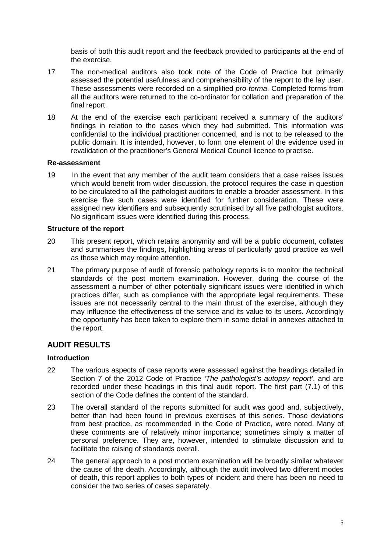basis of both this audit report and the feedback provided to participants at the end of the exercise.

- 17 The non-medical auditors also took note of the Code of Practice but primarily assessed the potential usefulness and comprehensibility of the report to the lay user. These assessments were recorded on a simplified *pro-forma*. Completed forms from all the auditors were returned to the co-ordinator for collation and preparation of the final report.
- 18 At the end of the exercise each participant received a summary of the auditors' findings in relation to the cases which they had submitted. This information was confidential to the individual practitioner concerned, and is not to be released to the public domain. It is intended, however, to form one element of the evidence used in revalidation of the practitioner's General Medical Council licence to practise.

#### **Re-assessment**

19 In the event that any member of the audit team considers that a case raises issues which would benefit from wider discussion, the protocol requires the case in question to be circulated to all the pathologist auditors to enable a broader assessment. In this exercise five such cases were identified for further consideration. These were assigned new identifiers and subsequently scrutinised by all five pathologist auditors. No significant issues were identified during this process.

#### **Structure of the report**

- 20 This present report, which retains anonymity and will be a public document, collates and summarises the findings, highlighting areas of particularly good practice as well as those which may require attention.
- 21 The primary purpose of audit of forensic pathology reports is to monitor the technical standards of the post mortem examination. However, during the course of the assessment a number of other potentially significant issues were identified in which practices differ, such as compliance with the appropriate legal requirements. These issues are not necessarily central to the main thrust of the exercise, although they may influence the effectiveness of the service and its value to its users. Accordingly the opportunity has been taken to explore them in some detail in annexes attached to the report.

# **AUDIT RESULTS**

#### **Introduction**

- 22 The various aspects of case reports were assessed against the headings detailed in Section 7 of the 2012 Code of Practice *'The pathologist's autopsy report'*, and are recorded under these headings in this final audit report. The first part (7.1) of this section of the Code defines the content of the standard.
- 23 The overall standard of the reports submitted for audit was good and, subjectively, better than had been found in previous exercises of this series. Those deviations from best practice, as recommended in the Code of Practice, were noted. Many of these comments are of relatively minor importance; sometimes simply a matter of personal preference. They are, however, intended to stimulate discussion and to facilitate the raising of standards overall.
- 24 The general approach to a post mortem examination will be broadly similar whatever the cause of the death. Accordingly, although the audit involved two different modes of death, this report applies to both types of incident and there has been no need to consider the two series of cases separately.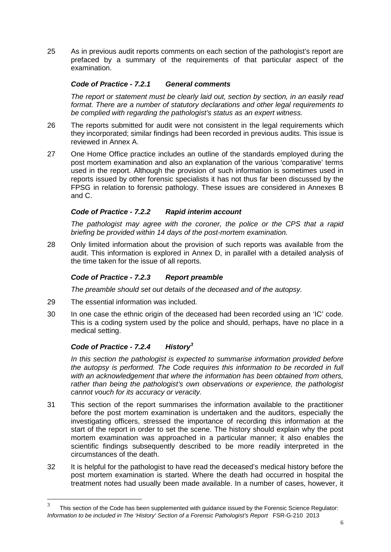25 As in previous audit reports comments on each section of the pathologist's report are prefaced by a summary of the requirements of that particular aspect of the examination.

# *Code of Practice - 7.2.1 General comments*

*The report or statement must be clearly laid out, section by section, in an easily read format. There are a number of statutory declarations and other legal requirements to be complied with regarding the pathologist's status as an expert witness.*

- 26 The reports submitted for audit were not consistent in the legal requirements which they incorporated; similar findings had been recorded in previous audits. This issue is reviewed in Annex A.
- 27 One Home Office practice includes an outline of the standards employed during the post mortem examination and also an explanation of the various 'comparative' terms used in the report. Although the provision of such information is sometimes used in reports issued by other forensic specialists it has not thus far been discussed by the FPSG in relation to forensic pathology. These issues are considered in Annexes B and C.

# *Code of Practice - 7.2.2 Rapid interim account*

*The pathologist may agree with the coroner, the police or the CPS that a rapid briefing be provided within 14 days of the post-mortem examination.*

28 Only limited information about the provision of such reports was available from the audit. This information is explored in Annex D, in parallel with a detailed analysis of the time taken for the issue of all reports.

# *Code of Practice - 7.2.3 Report preamble*

*The preamble should set out details of the deceased and of the autopsy.* 

- 29 The essential information was included.
- 30 In one case the ethnic origin of the deceased had been recorded using an 'IC' code. This is a coding system used by the police and should, perhaps, have no place in a medical setting.

# *Code of Practice - 7.2.4 History[3](#page-5-0)*

*In this section the pathologist is expected to summarise information provided before the autopsy is performed. The Code requires this information to be recorded in full with an acknowledgement that where the information has been obtained from others, rather than being the pathologist's own observations or experience, the pathologist cannot vouch for its accuracy or veracity.*

- 31 This section of the report summarises the information available to the practitioner before the post mortem examination is undertaken and the auditors, especially the investigating officers, stressed the importance of recording this information at the start of the report in order to set the scene. The history should explain why the post mortem examination was approached in a particular manner; it also enables the scientific findings subsequently described to be more readily interpreted in the circumstances of the death.
- 32 It is helpful for the pathologist to have read the deceased's medical history before the post mortem examination is started. Where the death had occurred in hospital the treatment notes had usually been made available. In a number of cases, however, it

<span id="page-5-0"></span> $3$  This section of the Code has been supplemented with guidance issued by the Forensic Science Regulator: *Information to be included in The 'History' Section of a Forensic Pathologist's Report* FSR-G-210 2013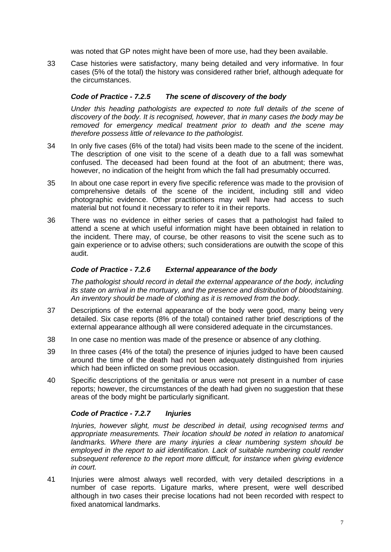was noted that GP notes might have been of more use, had they been available.

33 Case histories were satisfactory, many being detailed and very informative. In four cases (5% of the total) the history was considered rather brief, although adequate for the circumstances.

# *Code of Practice - 7.2.5 The scene of discovery of the body*

*Under this heading pathologists are expected to note full details of the scene of discovery of the body. It is recognised, however, that in many cases the body may be removed for emergency medical treatment prior to death and the scene may therefore possess little of relevance to the pathologist.*

- 34 In only five cases (6% of the total) had visits been made to the scene of the incident. The description of one visit to the scene of a death due to a fall was somewhat confused. The deceased had been found at the foot of an abutment; there was, however, no indication of the height from which the fall had presumably occurred.
- 35 In about one case report in every five specific reference was made to the provision of comprehensive details of the scene of the incident, including still and video photographic evidence. Other practitioners may well have had access to such material but not found it necessary to refer to it in their reports.
- 36 There was no evidence in either series of cases that a pathologist had failed to attend a scene at which useful information might have been obtained in relation to the incident. There may, of course, be other reasons to visit the scene such as to gain experience or to advise others; such considerations are outwith the scope of this audit.

### *Code of Practice - 7.2.6 External appearance of the body*

*The pathologist should record in detail the external appearance of the body, including its state on arrival in the mortuary, and the presence and distribution of bloodstaining. An inventory should be made of clothing as it is removed from the body.*

- 37 Descriptions of the external appearance of the body were good, many being very detailed. Six case reports (8% of the total) contained rather brief descriptions of the external appearance although all were considered adequate in the circumstances.
- 38 In one case no mention was made of the presence or absence of any clothing.
- 39 In three cases (4% of the total) the presence of injuries judged to have been caused around the time of the death had not been adequately distinguished from injuries which had been inflicted on some previous occasion.
- 40 Specific descriptions of the genitalia or anus were not present in a number of case reports; however, the circumstances of the death had given no suggestion that these areas of the body might be particularly significant.

#### *Code of Practice - 7.2.7 Injuries*

*Injuries, however slight, must be described in detail, using recognised terms and appropriate measurements. Their location should be noted in relation to anatomical landmarks. Where there are many injuries a clear numbering system should be employed in the report to aid identification. Lack of suitable numbering could render subsequent reference to the report more difficult, for instance when giving evidence in court.*

41 Injuries were almost always well recorded, with very detailed descriptions in a number of case reports. Ligature marks, where present, were well described although in two cases their precise locations had not been recorded with respect to fixed anatomical landmarks.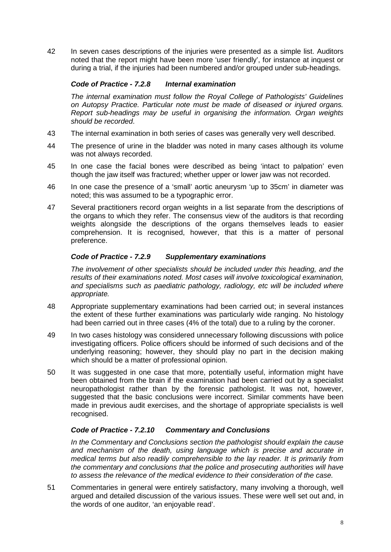42 In seven cases descriptions of the injuries were presented as a simple list. Auditors noted that the report might have been more 'user friendly', for instance at inquest or during a trial, if the injuries had been numbered and/or grouped under sub-headings.

### *Code of Practice - 7.2.8 Internal examination*

*The internal examination must follow the Royal College of Pathologists' Guidelines on Autopsy Practice. Particular note must be made of diseased or injured organs. Report sub-headings may be useful in organising the information. Organ weights should be recorded*.

- 43 The internal examination in both series of cases was generally very well described.
- 44 The presence of urine in the bladder was noted in many cases although its volume was not always recorded.
- 45 In one case the facial bones were described as being 'intact to palpation' even though the jaw itself was fractured; whether upper or lower jaw was not recorded.
- 46 In one case the presence of a 'small' aortic aneurysm 'up to 35cm' in diameter was noted; this was assumed to be a typographic error.
- 47 Several practitioners record organ weights in a list separate from the descriptions of the organs to which they refer. The consensus view of the auditors is that recording weights alongside the descriptions of the organs themselves leads to easier comprehension. It is recognised, however, that this is a matter of personal preference.

#### *Code of Practice - 7.2.9 Supplementary examinations*

*The involvement of other specialists should be included under this heading, and the results of their examinations noted. Most cases will involve toxicological examination, and specialisms such as paediatric pathology, radiology, etc will be included where appropriate.* 

- 48 Appropriate supplementary examinations had been carried out; in several instances the extent of these further examinations was particularly wide ranging. No histology had been carried out in three cases (4% of the total) due to a ruling by the coroner.
- 49 In two cases histology was considered unnecessary following discussions with police investigating officers. Police officers should be informed of such decisions and of the underlying reasoning; however, they should play no part in the decision making which should be a matter of professional opinion.
- 50 It was suggested in one case that more, potentially useful, information might have been obtained from the brain if the examination had been carried out by a specialist neuropathologist rather than by the forensic pathologist. It was not, however, suggested that the basic conclusions were incorrect. Similar comments have been made in previous audit exercises, and the shortage of appropriate specialists is well recognised.

#### *Code of Practice - 7.2.10 Commentary and Conclusions*

*In the Commentary and Conclusions section the pathologist should explain the cause and mechanism of the death, using language which is precise and accurate in medical terms but also readily comprehensible to the lay reader. It is primarily from the commentary and conclusions that the police and prosecuting authorities will have to assess the relevance of the medical evidence to their consideration of the case.*

51 Commentaries in general were entirely satisfactory, many involving a thorough, well argued and detailed discussion of the various issues. These were well set out and, in the words of one auditor, 'an enjoyable read'.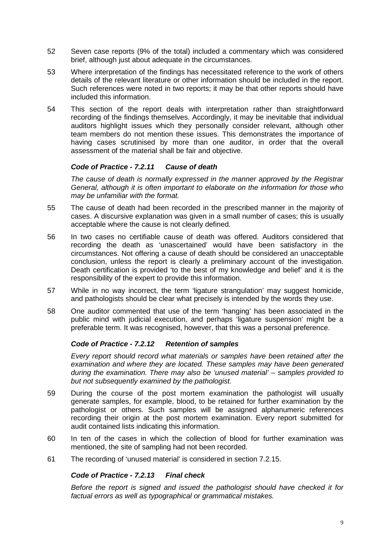- 52 Seven case reports (9% of the total) included a commentary which was considered brief, although just about adequate in the circumstances.
- 53 Where interpretation of the findings has necessitated reference to the work of others details of the relevant literature or other information should be included in the report. Such references were noted in two reports; it may be that other reports should have included this information.
- 54 This section of the report deals with interpretation rather than straightforward recording of the findings themselves. Accordingly, it may be inevitable that individual auditors highlight issues which they personally consider relevant, although other team members do not mention these issues. This demonstrates the importance of having cases scrutinised by more than one auditor, in order that the overall assessment of the material shall be fair and objective.

#### *Code of Practice - 7.2.11 Cause of death*

*The cause of death is normally expressed in the manner approved by the Registrar General, although it is often important to elaborate on the information for those who may be unfamiliar with the format.*

- 55 The cause of death had been recorded in the prescribed manner in the majority of cases. A discursive explanation was given in a small number of cases; this is usually acceptable where the cause is not clearly defined.
- 56 In two cases no certifiable cause of death was offered. Auditors considered that recording the death as 'unascertained' would have been satisfactory in the circumstances. Not offering a cause of death should be considered an unacceptable conclusion, unless the report is clearly a preliminary account of the investigation. Death certification is provided 'to the best of my knowledge and belief' and it is the responsibility of the expert to provide this information.
- 57 While in no way incorrect, the term 'ligature strangulation' may suggest homicide, and pathologists should be clear what precisely is intended by the words they use.
- 58 One auditor commented that use of the term 'hanging' has been associated in the public mind with judicial execution, and perhaps 'ligature suspension' might be a preferable term. It was recognised, however, that this was a personal preference.

#### *Code of Practice - 7.2.12 Retention of samples*

*Every report should record what materials or samples have been retained after the examination and where they are located. These samples may have been generated during the examination. There may also be 'unused material' – samples provided to but not subsequently examined by the pathologist.*

- 59 During the course of the post mortem examination the pathologist will usually generate samples, for example, blood, to be retained for further examination by the pathologist or others. Such samples will be assigned alphanumeric references recording their origin at the post mortem examination. Every report submitted for audit contained lists indicating this information.
- 60 In ten of the cases in which the collection of blood for further examination was mentioned, the site of sampling had not been recorded.
- 61 The recording of 'unused material' is considered in section 7.2.15.

#### *Code of Practice - 7.2.13 Final check*

*Before the report is signed and issued the pathologist should have checked it for factual errors as well as typographical or grammatical mistakes.*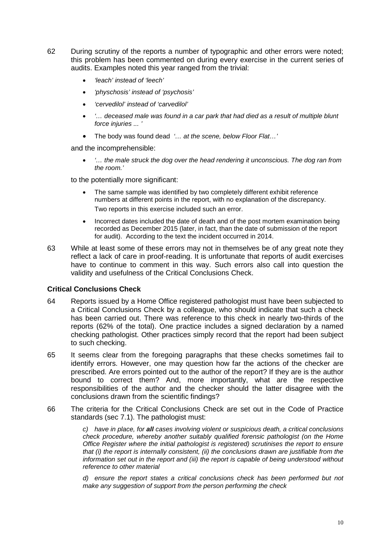- 62 During scrutiny of the reports a number of typographic and other errors were noted; this problem has been commented on during every exercise in the current series of audits. Examples noted this year ranged from the trivial:
	- *'leach' instead of 'leech'*
	- *'physchosis' instead of 'psychosis'*
	- *'cervedilol' instead of 'carvedilol'*
	- *'… deceased male was found in a car park that had died as a result of multiple blunt force injuries ... '*
	- The body was found dead *'… at the scene, below Floor Flat…'*

and the incomprehensible:

• *'… the male struck the dog over the head rendering it unconscious. The dog ran from the room.'*

to the potentially more significant:

- The same sample was identified by two completely different exhibit reference numbers at different points in the report, with no explanation of the discrepancy. Two reports in this exercise included such an error.
- Incorrect dates included the date of death and of the post mortem examination being recorded as December 2015 (later, in fact, than the date of submission of the report for audit). According to the text the incident occurred in 2014.
- 63 While at least some of these errors may not in themselves be of any great note they reflect a lack of care in proof-reading. It is unfortunate that reports of audit exercises have to continue to comment in this way. Such errors also call into question the validity and usefulness of the Critical Conclusions Check.

#### **Critical Conclusions Check**

- 64 Reports issued by a Home Office registered pathologist must have been subjected to a Critical Conclusions Check by a colleague, who should indicate that such a check has been carried out. There was reference to this check in nearly two-thirds of the reports (62% of the total). One practice includes a signed declaration by a named checking pathologist. Other practices simply record that the report had been subject to such checking.
- 65 It seems clear from the foregoing paragraphs that these checks sometimes fail to identify errors. However, one may question how far the actions of the checker are prescribed. Are errors pointed out to the author of the report? If they are is the author bound to correct them? And, more importantly, what are the respective responsibilities of the author and the checker should the latter disagree with the conclusions drawn from the scientific findings?
- 66 The criteria for the Critical Conclusions Check are set out in the Code of Practice standards (sec 7.1). The pathologist must:

*c) have in place, for all cases involving violent or suspicious death, a critical conclusions check procedure, whereby another suitably qualified forensic pathologist (on the Home Office Register where the initial pathologist is registered) scrutinises the report to ensure that (i) the report is internally consistent, (ii) the conclusions drawn are justifiable from the information set out in the report and (iii) the report is capable of being understood without reference to other material*

*d) ensure the report states a critical conclusions check has been performed but not make any suggestion of support from the person performing the check*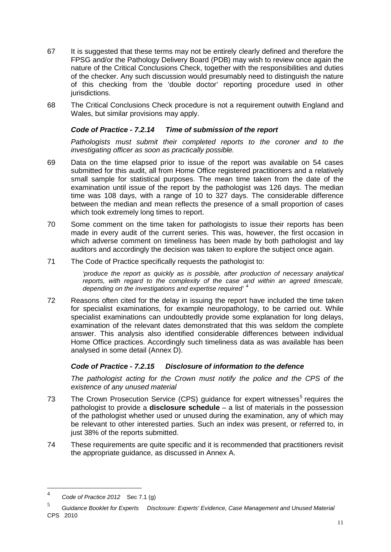- 67 It is suggested that these terms may not be entirely clearly defined and therefore the FPSG and/or the Pathology Delivery Board (PDB) may wish to review once again the nature of the Critical Conclusions Check, together with the responsibilities and duties of the checker. Any such discussion would presumably need to distinguish the nature of this checking from the 'double doctor' reporting procedure used in other jurisdictions.
- 68 The Critical Conclusions Check procedure is not a requirement outwith England and Wales, but similar provisions may apply.

#### *Code of Practice - 7.2.14 Time of submission of the report*

Pathologists must submit their completed reports to the coroner and to the *investigating officer as soon as practically possible.*

- 69 Data on the time elapsed prior to issue of the report was available on 54 cases submitted for this audit, all from Home Office registered practitioners and a relatively small sample for statistical purposes. The mean time taken from the date of the examination until issue of the report by the pathologist was 126 days. The median time was 108 days, with a range of 10 to 327 days. The considerable difference between the median and mean reflects the presence of a small proportion of cases which took extremely long times to report.
- 70 Some comment on the time taken for pathologists to issue their reports has been made in every audit of the current series. This was, however, the first occasion in which adverse comment on timeliness has been made by both pathologist and lay auditors and accordingly the decision was taken to explore the subject once again.
- 71 The Code of Practice specifically requests the pathologist to:

*'produce the report as quickly as is possible, after production of necessary analytical*  reports, with regard to the complexity of the case and within an agreed timescale, *depending on the investigations and expertise required' [4](#page-10-0)*

72 Reasons often cited for the delay in issuing the report have included the time taken for specialist examinations, for example neuropathology, to be carried out. While specialist examinations can undoubtedly provide some explanation for long delays, examination of the relevant dates demonstrated that this was seldom the complete answer. This analysis also identified considerable differences between individual Home Office practices. Accordingly such timeliness data as was available has been analysed in some detail (Annex D).

# *Code of Practice - 7.2.15 Disclosure of information to the defence*

*The pathologist acting for the Crown must notify the police and the CPS of the existence of any unused material*

- 73 The Crown Prosecution Service (CPS) guidance for expert witnesses<sup>[5](#page-10-1)</sup> requires the pathologist to provide a **disclosure schedule** – a list of materials in the possession of the pathologist whether used or unused during the examination, any of which may be relevant to other interested parties. Such an index was present, or referred to, in just 38% of the reports submitted.
- 74 These requirements are quite specific and it is recommended that practitioners revisit the appropriate guidance, as discussed in Annex A.

<span id="page-10-0"></span> <sup>4</sup> *Code of Practice 2012* Sec 7.1 (g)

<span id="page-10-1"></span><sup>5</sup> *Guidance Booklet for Experts Disclosure: Experts' Evidence, Case Management and Unused Material* CPS 2010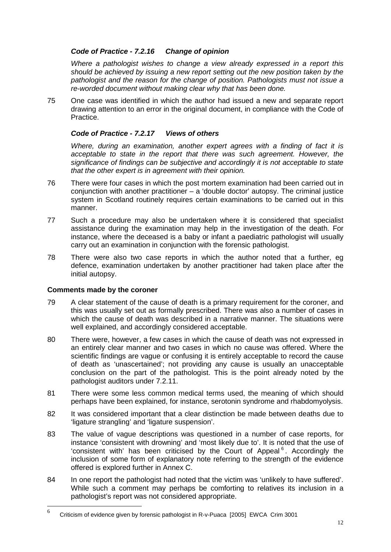#### *Code of Practice - 7.2.16 Change of opinion*

*Where a pathologist wishes to change a view already expressed in a report this should be achieved by issuing a new report setting out the new position taken by the pathologist and the reason for the change of position. Pathologists must not issue a re-worded document without making clear why that has been done.*

75 One case was identified in which the author had issued a new and separate report drawing attention to an error in the original document, in compliance with the Code of Practice.

# *Code of Practice - 7.2.17 Views of others*

*Where, during an examination, another expert agrees with a finding of fact it is*  acceptable to state in the report that there was such agreement. However, the *significance of findings can be subjective and accordingly it is not acceptable to state that the other expert is in agreement with their opinion.*

- 76 There were four cases in which the post mortem examination had been carried out in conjunction with another practitioner – a 'double doctor' autopsy. The criminal justice system in Scotland routinely requires certain examinations to be carried out in this manner.
- 77 Such a procedure may also be undertaken where it is considered that specialist assistance during the examination may help in the investigation of the death. For instance, where the deceased is a baby or infant a paediatric pathologist will usually carry out an examination in conjunction with the forensic pathologist.
- 78 There were also two case reports in which the author noted that a further, eg defence, examination undertaken by another practitioner had taken place after the initial autopsy.

#### **Comments made by the coroner**

- 79 A clear statement of the cause of death is a primary requirement for the coroner, and this was usually set out as formally prescribed. There was also a number of cases in which the cause of death was described in a narrative manner. The situations were well explained, and accordingly considered acceptable.
- 80 There were, however, a few cases in which the cause of death was not expressed in an entirely clear manner and two cases in which no cause was offered. Where the scientific findings are vague or confusing it is entirely acceptable to record the cause of death as 'unascertained'; not providing any cause is usually an unacceptable conclusion on the part of the pathologist. This is the point already noted by the pathologist auditors under 7.2.11.
- 81 There were some less common medical terms used, the meaning of which should perhaps have been explained, for instance, serotonin syndrome and rhabdomyolysis.
- 82 It was considered important that a clear distinction be made between deaths due to 'ligature strangling' and 'ligature suspension'.
- 83 The value of vague descriptions was questioned in a number of case reports, for instance 'consistent with drowning' and 'most likely due to'. It is noted that the use of 'consistent with' has been criticised by the Court of Appeal<sup>[6](#page-11-0)</sup>. Accordingly the inclusion of some form of explanatory note referring to the strength of the evidence offered is explored further in Annex C.
- 84 In one report the pathologist had noted that the victim was 'unlikely to have suffered'. While such a comment may perhaps be comforting to relatives its inclusion in a pathologist's report was not considered appropriate.

<span id="page-11-0"></span> <sup>6</sup> Criticism of evidence given by forensic pathologist in R-v-Puaca [2005] EWCA Crim 3001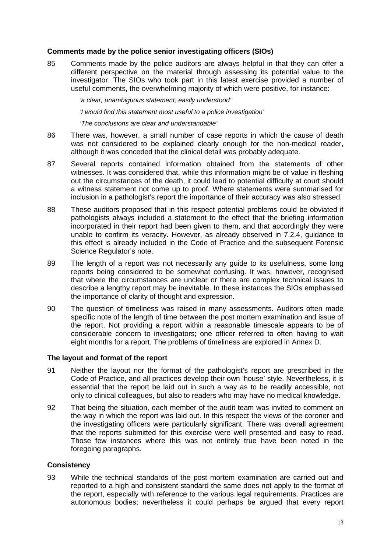#### **Comments made by the police senior investigating officers (SIOs)**

85 Comments made by the police auditors are always helpful in that they can offer a different perspective on the material through assessing its potential value to the investigator. The SIOs who took part in this latest exercise provided a number of useful comments, the overwhelming majority of which were positive, for instance:

*'a clear, unambiguous statement, easily understood'*

*'I would find this statement most useful to a police investigation'*

*'The conclusions are clear and understandable'*

- 86 There was, however, a small number of case reports in which the cause of death was not considered to be explained clearly enough for the non-medical reader, although it was conceded that the clinical detail was probably adequate.
- 87 Several reports contained information obtained from the statements of other witnesses. It was considered that, while this information might be of value in fleshing out the circumstances of the death, it could lead to potential difficulty at court should a witness statement not come up to proof. Where statements were summarised for inclusion in a pathologist's report the importance of their accuracy was also stressed.
- 88 These auditors proposed that in this respect potential problems could be obviated if pathologists always included a statement to the effect that the briefing information incorporated in their report had been given to them, and that accordingly they were unable to confirm its veracity. However, as already observed in 7.2.4, guidance to this effect is already included in the Code of Practice and the subsequent Forensic Science Regulator's note.
- 89 The length of a report was not necessarily any guide to its usefulness, some long reports being considered to be somewhat confusing. It was, however, recognised that where the circumstances are unclear or there are complex technical issues to describe a lengthy report may be inevitable. In these instances the SIOs emphasised the importance of clarity of thought and expression.
- 90 The question of timeliness was raised in many assessments. Auditors often made specific note of the length of time between the post mortem examination and issue of the report. Not providing a report within a reasonable timescale appears to be of considerable concern to investigators; one officer referred to often having to wait eight months for a report. The problems of timeliness are explored in Annex D.

#### **The layout and format of the report**

- 91 Neither the layout nor the format of the pathologist's report are prescribed in the Code of Practice, and all practices develop their own 'house' style. Nevertheless, it is essential that the report be laid out in such a way as to be readily accessible, not only to clinical colleagues, but also to readers who may have no medical knowledge.
- 92 That being the situation, each member of the audit team was invited to comment on the way in which the report was laid out. In this respect the views of the coroner and the investigating officers were particularly significant. There was overall agreement that the reports submitted for this exercise were well presented and easy to read. Those few instances where this was not entirely true have been noted in the foregoing paragraphs.

#### **Consistency**

93 While the technical standards of the post mortem examination are carried out and reported to a high and consistent standard the same does not apply to the format of the report, especially with reference to the various legal requirements. Practices are autonomous bodies; nevertheless it could perhaps be argued that every report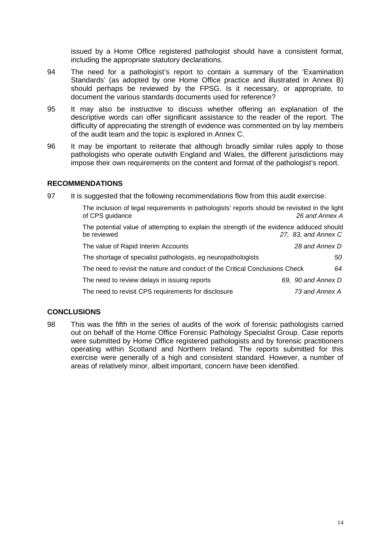issued by a Home Office registered pathologist should have a consistent format, including the appropriate statutory declarations.

- 94 The need for a pathologist's report to contain a summary of the 'Examination Standards' (as adopted by one Home Office practice and illustrated in Annex B) should perhaps be reviewed by the FPSG. Is it necessary, or appropriate, to document the various standards documents used for reference?
- 95 It may also be instructive to discuss whether offering an explanation of the descriptive words can offer significant assistance to the reader of the report. The difficulty of appreciating the strength of evidence was commented on by lay members of the audit team and the topic is explored in Annex C.
- 96 It may be important to reiterate that although broadly similar rules apply to those pathologists who operate outwith England and Wales, the different jurisdictions may impose their own requirements on the content and format of the pathologist's report.

### **RECOMMENDATIONS**

97 It is suggested that the following recommendations flow from this audit exercise:

| The inclusion of legal requirements in pathologists' reports should be revisited in the light<br>of CPS guidance | 26 and Annex A      |
|------------------------------------------------------------------------------------------------------------------|---------------------|
| The potential value of attempting to explain the strength of the evidence adduced should<br>be reviewed          | 27, 83, and Annex C |
| The value of Rapid Interim Accounts                                                                              | 28 and Annex D      |
| The shortage of specialist pathologists, eg neuropathologists                                                    | 50                  |
| The need to revisit the nature and conduct of the Critical Conclusions Check                                     | 64                  |
| The need to review delays in issuing reports                                                                     | 69, 90 and Annex D  |
| The need to revisit CPS requirements for disclosure                                                              | 73 and Annex A      |

# **CONCLUSIONS**

98 This was the fifth in the series of audits of the work of forensic pathologists carried out on behalf of the Home Office Forensic Pathology Specialist Group. Case reports were submitted by Home Office registered pathologists and by forensic practitioners operating within Scotland and Northern Ireland. The reports submitted for this exercise were generally of a high and consistent standard. However, a number of areas of relatively minor, albeit important, concern have been identified.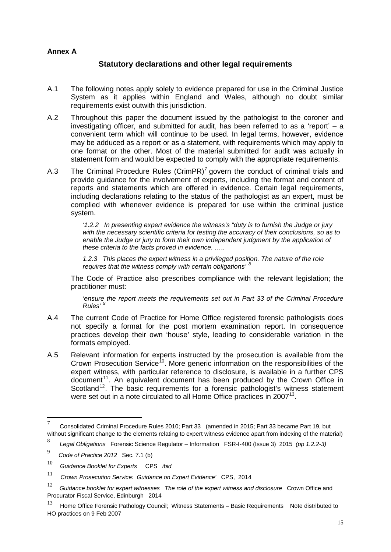### **Annex A**

# **Statutory declarations and other legal requirements**

- A.1 The following notes apply solely to evidence prepared for use in the Criminal Justice System as it applies within England and Wales, although no doubt similar requirements exist outwith this jurisdiction.
- A.2 Throughout this paper the document issued by the pathologist to the coroner and investigating officer, and submitted for audit, has been referred to as a 'report' – a convenient term which will continue to be used. In legal terms, however, evidence may be adduced as a report or as a statement, with requirements which may apply to one format or the other. Most of the material submitted for audit was actually in statement form and would be expected to comply with the appropriate requirements.
- A.3 The Criminal Procedure Rules  $(CrimPR)^7$  $(CrimPR)^7$  govern the conduct of criminal trials and provide guidance for the involvement of experts, including the format and content of reports and statements which are offered in evidence. Certain legal requirements, including declarations relating to the status of the pathologist as an expert, must be complied with whenever evidence is prepared for use within the criminal justice system.

*'1.2.2 In presenting expert evidence the witness's "duty is to furnish the Judge or jury with the necessary scientific criteria for testing the accuracy of their conclusions, so as to*  enable the Judge or jury to form their own independent judgment by the application of *these criteria to the facts proved in evidence. …..*

*1.2.3 This places the expert witness in a privileged position. The nature of the role requires that the witness comply with certain obligations' [8](#page-14-1)*

The Code of Practice also prescribes compliance with the relevant legislation; the practitioner must:

*'ensure the report meets the requirements set out in Part 33 of the Criminal Procedure Rules' [9](#page-14-2)*

- A.4 The current Code of Practice for Home Office registered forensic pathologists does not specify a format for the post mortem examination report. In consequence practices develop their own 'house' style, leading to considerable variation in the formats employed.
- A.5 Relevant information for experts instructed by the prosecution is available from the Crown Prosecution Service<sup>[10](#page-14-3)</sup>. More generic information on the responsibilities of the expert witness, with particular reference to disclosure, is available in a further CPS document<sup>[11](#page-14-4)</sup>. An equivalent document has been produced by the Crown Office in Scotland<sup>[12](#page-14-5)</sup>. The basic requirements for a forensic pathologist's witness statement were set out in a note circulated to all Home Office practices in 2007<sup>[13](#page-14-6)</sup>.

<span id="page-14-0"></span> <sup>7</sup> Consolidated Criminal Procedure Rules 2010; Part 33 (amended in 2015; Part 33 became Part 19, but without significant change to the elements relating to expert witness evidence apart from indexing of the material)

<span id="page-14-1"></span><sup>8</sup> *Legal Obligations* Forensic Science Regulator – Information FSR-I-400 (Issue 3) 2015 *(pp 1.2.2-3)*

<span id="page-14-2"></span><sup>9</sup> *Code of Practice <sup>2012</sup>* Sec. 7.1 (b)

<span id="page-14-3"></span><sup>10</sup> *Guidance Booklet for Experts* CPS *ibid*

<span id="page-14-4"></span><sup>11</sup> *Crown Prosecution Service: Guidance on Expert Evidence'* CPS, 2014

<span id="page-14-5"></span><sup>12</sup> *Guidance booklet for expert witnesses The role of the expert witness and disclosure* Crown Office and Procurator Fiscal Service, Edinburgh 2014

<span id="page-14-6"></span> $13$  Home Office Forensic Pathology Council; Witness Statements – Basic Requirements Note distributed to HO practices on 9 Feb 2007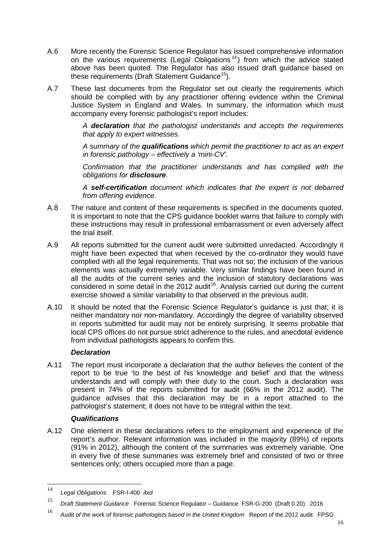- A.6 More recently the Forensic Science Regulator has issued comprehensive information on the various requirements (Legal Obligations<sup>[14](#page-15-0)</sup>) from which the advice stated above has been quoted. The Regulator has also issued draft guidance based on these requirements (Draft Statement Guidance<sup>[15](#page-15-1)</sup>).
- A.7 These last documents from the Regulator set out clearly the requirements which should be complied with by any practitioner offering evidence within the Criminal Justice System in England and Wales. In summary, the information which must accompany every forensic pathologist's report includes:

*A declaration that the pathologist understands and accepts the requirements that apply to expert witnesses.* 

*A summary of the qualifications which permit the practitioner to act as an expert in forensic pathology – effectively a 'mini-CV'.* 

*Confirmation that the practitioner understands and has complied with the obligations for disclosure*.

*A self-certification document which indicates that the expert is not debarred from offering evidence.* 

- A.8 The nature and content of these requirements is specified in the documents quoted. It is important to note that the CPS guidance booklet warns that failure to comply with these instructions may result in professional embarrassment or even adversely affect the trial itself.
- A.9 All reports submitted for the current audit were submitted unredacted. Accordingly it might have been expected that when received by the co-ordinator they would have complied with all the legal requirements. That was not so; the inclusion of the various elements was actually extremely variable. Very similar findings have been found in all the audits of the current series and the inclusion of statutory declarations was considered in some detail in the 2012 audit<sup>16</sup>. Analysis carried out during the current exercise showed a similar variability to that observed in the previous audit.
- A.10 It should be noted that the Forensic Science Regulator's guidance is just that; it is neither mandatory nor non-mandatory. Accordingly the degree of variability observed in reports submitted for audit may not be entirely surprising. It seems probable that local CPS offices do not pursue strict adherence to the rules, and anecdotal evidence from individual pathologists appears to confirm this.

#### *Declaration*

A.11 The report must incorporate a declaration that the author believes the content of the report to be true 'to the best of his knowledge and belief' and that the witness understands and will comply with their duty to the court. Such a declaration was present in 74% of the reports submitted for audit (66% in the 2012 audit). The guidance advises that this declaration may be in a report attached to the pathologist's statement; it does not have to be integral within the text.

#### *Qualifications*

A.12 One element in these declarations refers to the employment and experience of the report's author. Relevant information was included in the majority (89%) of reports (91% in 2012), although the content of the summaries was extremely variable. One in every five of these summaries was extremely brief and consisted of two or three sentences only; others occupied more than a page.

<span id="page-15-0"></span> <sup>14</sup> *Legal Obligations* FSR-I-400 *ibid*

<span id="page-15-1"></span><sup>15</sup> *Draft Statement Guidance* Forensic Science Regulator – Guidance FSR-G-200 (Draft 0.20) 2016

<span id="page-15-2"></span><sup>16</sup> *Audit of the work of forensic pathologists based in the United Kingdom* Report of the 2012 audit FPSG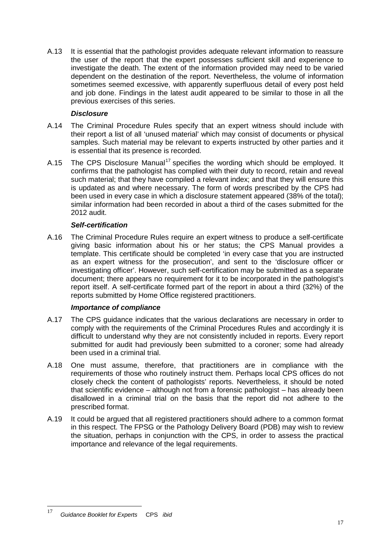A.13 It is essential that the pathologist provides adequate relevant information to reassure the user of the report that the expert possesses sufficient skill and experience to investigate the death. The extent of the information provided may need to be varied dependent on the destination of the report. Nevertheless, the volume of information sometimes seemed excessive, with apparently superfluous detail of every post held and job done. Findings in the latest audit appeared to be similar to those in all the previous exercises of this series.

# *Disclosure*

- A.14 The Criminal Procedure Rules specify that an expert witness should include with their report a list of all 'unused material' which may consist of documents or physical samples. Such material may be relevant to experts instructed by other parties and it is essential that its presence is recorded.
- A.15 The CPS Disclosure Manual<sup>[17](#page-16-0)</sup> specifies the wording which should be employed. It confirms that the pathologist has complied with their duty to record, retain and reveal such material; that they have compiled a relevant index; and that they will ensure this is updated as and where necessary. The form of words prescribed by the CPS had been used in every case in which a disclosure statement appeared (38% of the total); similar information had been recorded in about a third of the cases submitted for the 2012 audit.

### *Self-certification*

A.16 The Criminal Procedure Rules require an expert witness to produce a self-certificate giving basic information about his or her status; the CPS Manual provides a template. This certificate should be completed 'in every case that you are instructed as an expert witness for the prosecution', and sent to the 'disclosure officer or investigating officer'. However, such self-certification may be submitted as a separate document; there appears no requirement for it to be incorporated in the pathologist's report itself. A self-certificate formed part of the report in about a third (32%) of the reports submitted by Home Office registered practitioners.

#### *Importance of compliance*

- A.17 The CPS guidance indicates that the various declarations are necessary in order to comply with the requirements of the Criminal Procedures Rules and accordingly it is difficult to understand why they are not consistently included in reports. Every report submitted for audit had previously been submitted to a coroner; some had already been used in a criminal trial.
- A.18 One must assume, therefore, that practitioners are in compliance with the requirements of those who routinely instruct them. Perhaps local CPS offices do not closely check the content of pathologists' reports. Nevertheless, it should be noted that scientific evidence – although not from a forensic pathologist – has already been disallowed in a criminal trial on the basis that the report did not adhere to the prescribed format.
- A.19 It could be argued that all registered practitioners should adhere to a common format in this respect. The FPSG or the Pathology Delivery Board (PDB) may wish to review the situation, perhaps in conjunction with the CPS, in order to assess the practical importance and relevance of the legal requirements.

<span id="page-16-0"></span> <sup>17</sup> *Guidance Booklet for Experts* CPS *ibid*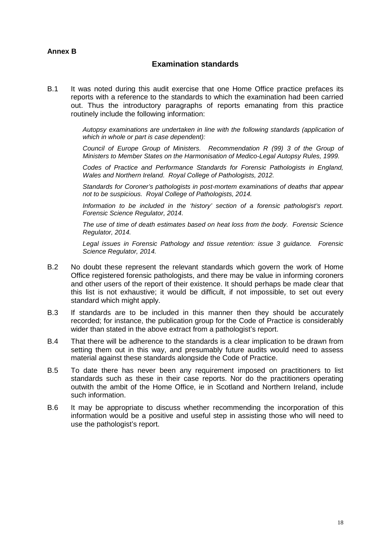#### **Annex B**

# **Examination standards**

B.1 It was noted during this audit exercise that one Home Office practice prefaces its reports with a reference to the standards to which the examination had been carried out. Thus the introductory paragraphs of reports emanating from this practice routinely include the following information:

> *Autopsy examinations are undertaken in line with the following standards (application of which in whole or part is case dependent):*

> *Council of Europe Group of Ministers. Recommendation R (99) 3 of the Group of Ministers to Member States on the Harmonisation of Medico-Legal Autopsy Rules, 1999.*

> *Codes of Practice and Performance Standards for Forensic Pathologists in England, Wales and Northern Ireland. Royal College of Pathologists, 2012.*

> *Standards for Coroner's pathologists in post-mortem examinations of deaths that appear not to be suspicious. Royal College of Pathologists, 2014.*

> *Information to be included in the 'history' section of a forensic pathologist's report. Forensic Science Regulator, 2014.*

> *The use of time of death estimates based on heat loss from the body. Forensic Science Regulator, 2014.*

> *Legal issues in Forensic Pathology and tissue retention: issue 3 guidance. Forensic Science Regulator, 2014.*

- B.2 No doubt these represent the relevant standards which govern the work of Home Office registered forensic pathologists, and there may be value in informing coroners and other users of the report of their existence. It should perhaps be made clear that this list is not exhaustive; it would be difficult, if not impossible, to set out every standard which might apply.
- B.3 If standards are to be included in this manner then they should be accurately recorded; for instance, the publication group for the Code of Practice is considerably wider than stated in the above extract from a pathologist's report.
- B.4 That there will be adherence to the standards is a clear implication to be drawn from setting them out in this way, and presumably future audits would need to assess material against these standards alongside the Code of Practice.
- B.5 To date there has never been any requirement imposed on practitioners to list standards such as these in their case reports. Nor do the practitioners operating outwith the ambit of the Home Office, ie in Scotland and Northern Ireland, include such information.
- B.6 It may be appropriate to discuss whether recommending the incorporation of this information would be a positive and useful step in assisting those who will need to use the pathologist's report.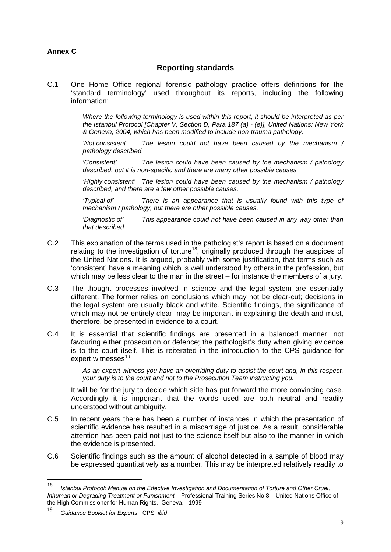# **Annex C**

# **Reporting standards**

C.1 One Home Office regional forensic pathology practice offers definitions for the 'standard terminology' used throughout its reports, including the following information:

> *Where the following terminology is used within this report, it should be interpreted as per the Istanbul Protocol [Chapter V, Section D, Para 187 (a) - (e)], United Nations: New York & Geneva, 2004, which has been modified to include non-trauma pathology:*

> *'Not consistent' The lesion could not have been caused by the mechanism / pathology described.*

> *'Consistent' The lesion could have been caused by the mechanism / pathology described, but it is non-specific and there are many other possible causes.*

> *'Highly consistent' The lesion could have been caused by the mechanism / pathology described, and there are a few other possible causes.*

> *'Typical of' There is an appearance that is usually found with this type of mechanism / pathology, but there are other possible causes.*

> *'Diagnostic of' This appearance could not have been caused in any way other than that described.*

- C.2 This explanation of the terms used in the pathologist's report is based on a document relating to the investigation of torture<sup>[18](#page-18-0)</sup>, originally produced through the auspices of the United Nations. It is argued, probably with some justification, that terms such as 'consistent' have a meaning which is well understood by others in the profession, but which may be less clear to the man in the street – for instance the members of a jury.
- C.3 The thought processes involved in science and the legal system are essentially different. The former relies on conclusions which may not be clear-cut; decisions in the legal system are usually black and white. Scientific findings, the significance of which may not be entirely clear, may be important in explaining the death and must, therefore, be presented in evidence to a court.
- C.4 It is essential that scientific findings are presented in a balanced manner, not favouring either prosecution or defence; the pathologist's duty when giving evidence is to the court itself. This is reiterated in the introduction to the CPS guidance for expert witnesses $19$ :

*As an expert witness you have an overriding duty to assist the court and, in this respect, your duty is to the court and not to the Prosecution Team instructing you.*

It will be for the jury to decide which side has put forward the more convincing case. Accordingly it is important that the words used are both neutral and readily understood without ambiguity.

- C.5 In recent years there has been a number of instances in which the presentation of scientific evidence has resulted in a miscarriage of justice. As a result, considerable attention has been paid not just to the science itself but also to the manner in which the evidence is presented.
- C.6 Scientific findings such as the amount of alcohol detected in a sample of blood may be expressed quantitatively as a number. This may be interpreted relatively readily to

<span id="page-18-0"></span> <sup>18</sup> *Istanbul Protocol: Manual on the Effective Investigation and Documentation of Torture and Other Cruel, Inhuman or Degrading Treatment or Punishment* Professional Training Series No 8 United Nations Office of the High Commissioner for Human Rights, Geneva, 1999

<span id="page-18-1"></span><sup>19</sup> *Guidance Booklet for Experts* CPS *ibid*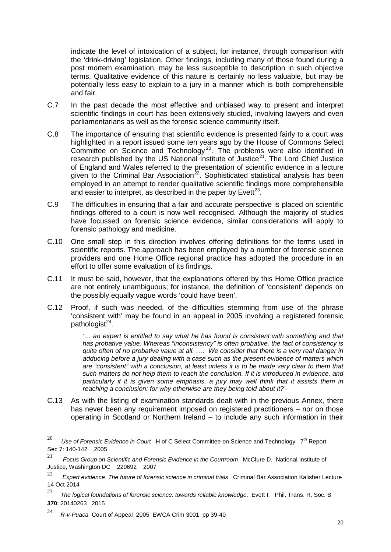indicate the level of intoxication of a subject, for instance, through comparison with the 'drink-driving' legislation. Other findings, including many of those found during a post mortem examination, may be less susceptible to description in such objective terms. Qualitative evidence of this nature is certainly no less valuable, but may be potentially less easy to explain to a jury in a manner which is both comprehensible and fair.

- C.7 In the past decade the most effective and unbiased way to present and interpret scientific findings in court has been extensively studied, involving lawyers and even parliamentarians as well as the forensic science community itself.
- C.8 The importance of ensuring that scientific evidence is presented fairly to a court was highlighted in a report issued some ten years ago by the House of Commons Select Committee on Science and Technology<sup>[20](#page-19-0)</sup>. The problems were also identified in research published by the US National Institute of Justice<sup>21</sup>. The Lord Chief Justice of England and Wales referred to the presentation of scientific evidence in a lecture given to the Criminal Bar Association<sup>22</sup>. Sophisticated statistical analysis has been employed in an attempt to render qualitative scientific findings more comprehensible and easier to interpret, as described in the paper by  $Evett^{23}$ .
- C.9 The difficulties in ensuring that a fair and accurate perspective is placed on scientific findings offered to a court is now well recognised. Although the majority of studies have focussed on forensic science evidence, similar considerations will apply to forensic pathology and medicine.
- C.10 One small step in this direction involves offering definitions for the terms used in scientific reports. The approach has been employed by a number of forensic science providers and one Home Office regional practice has adopted the procedure in an effort to offer some evaluation of its findings.
- C.11 It must be said, however, that the explanations offered by this Home Office practice are not entirely unambiguous; for instance, the definition of 'consistent' depends on the possibly equally vague words 'could have been'.
- C.12 Proof, if such was needed, of the difficulties stemming from use of the phrase 'consistent with' may be found in an appeal in 2005 involving a registered forensic pathologist<sup>[24](#page-19-4)</sup>.

*'… an expert is entitled to say what he has found is consistent with something and that has probative value. Whereas "inconsistency" is often probative, the fact of consistency is quite often of no probative value at all. …. We consider that there is a very real danger in adducing before a jury dealing with a case such as the present evidence of matters which are "consistent" with a conclusion, at least unless it is to be made very clear to them that such matters do not help them to reach the conclusion. If it is introduced in evidence, and particularly if it is given some emphasis, a jury may well think that it assists them in reaching a conclusion: for why otherwise are they being told about it?'*

C.13 As with the listing of examination standards dealt with in the previous Annex, there has never been any requirement imposed on registered practitioners – nor on those operating in Scotland or Northern Ireland – to include any such information in their

<span id="page-19-0"></span><sup>&</sup>lt;sup>20</sup> *Use of Forensic Evidence in Court* H of C Select Committee on Science and Technology 7<sup>th</sup> Report Sec 7: 140-142 2005

<span id="page-19-1"></span><sup>21</sup> *Focus Group on Scientific and Forensic Evidence in the Courtroom* McClure D. National Institute of Justice, Washington DC 220692 2007<br>  $22 - 7$ 

<span id="page-19-2"></span><sup>22</sup> *Expert evidence The future of forensic science in criminal trials* Criminal Bar Association Kalisher Lecture 14 Oct 2014

<span id="page-19-3"></span><sup>23</sup> *The logical foundations of forensic science: towards reliable knowledge*. Evett I. Phil. Trans. R. Soc. B **370**: 20140263 2015

<span id="page-19-4"></span><sup>24</sup> *R-v-Puaca* Court of Appeal 2005 EWCA Crim 3001 pp 39-40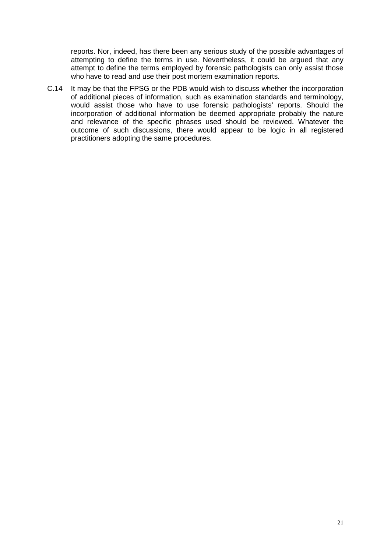reports. Nor, indeed, has there been any serious study of the possible advantages of attempting to define the terms in use. Nevertheless, it could be argued that any attempt to define the terms employed by forensic pathologists can only assist those who have to read and use their post mortem examination reports.

C.14 It may be that the FPSG or the PDB would wish to discuss whether the incorporation of additional pieces of information, such as examination standards and terminology, would assist those who have to use forensic pathologists' reports. Should the incorporation of additional information be deemed appropriate probably the nature and relevance of the specific phrases used should be reviewed. Whatever the outcome of such discussions, there would appear to be logic in all registered practitioners adopting the same procedures.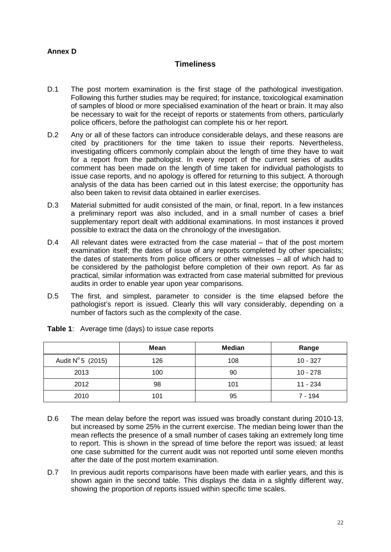# **Annex D**

# **Timeliness**

- D.1 The post mortem examination is the first stage of the pathological investigation. Following this further studies may be required; for instance, toxicological examination of samples of blood or more specialised examination of the heart or brain. It may also be necessary to wait for the receipt of reports or statements from others, particularly police officers, before the pathologist can complete his or her report.
- D.2 Any or all of these factors can introduce considerable delays, and these reasons are cited by practitioners for the time taken to issue their reports. Nevertheless, investigating officers commonly complain about the length of time they have to wait for a report from the pathologist. In every report of the current series of audits comment has been made on the length of time taken for individual pathologists to issue case reports, and no apology is offered for returning to this subject. A thorough analysis of the data has been carried out in this latest exercise; the opportunity has also been taken to revisit data obtained in earlier exercises.
- D.3 Material submitted for audit consisted of the main, or final, report. In a few instances a preliminary report was also included, and in a small number of cases a brief supplementary report dealt with additional examinations. In most instances it proved possible to extract the data on the chronology of the investigation.
- D.4 All relevant dates were extracted from the case material that of the post mortem examination itself; the dates of issue of any reports completed by other specialists; the dates of statements from police officers or other witnesses – all of which had to be considered by the pathologist before completion of their own report. As far as practical, similar information was extracted from case material submitted for previous audits in order to enable year upon year comparisons.
- D.5 The first, and simplest, parameter to consider is the time elapsed before the pathologist's report is issued. Clearly this will vary considerably, depending on a number of factors such as the complexity of the case.

|                            | <b>Mean</b> | <b>Median</b> | Range      |
|----------------------------|-------------|---------------|------------|
| Audit $N^{\circ} 5$ (2015) | 126         | 108           | $10 - 327$ |
| 2013                       | 100         | 90            | $10 - 278$ |
| 2012                       | 98          | 101           | 11 - 234   |
| 2010                       | 101         | 95            | 7 - 194    |

|  | <b>Table 1:</b> Average time (days) to issue case reports |
|--|-----------------------------------------------------------|
|  |                                                           |

- D.6 The mean delay before the report was issued was broadly constant during 2010-13, but increased by some 25% in the current exercise. The median being lower than the mean reflects the presence of a small number of cases taking an extremely long time to report. This is shown in the spread of time before the report was issued; at least one case submitted for the current audit was not reported until some eleven months after the date of the post mortem examination.
- D.7 In previous audit reports comparisons have been made with earlier years, and this is shown again in the second table. This displays the data in a slightly different way, showing the proportion of reports issued within specific time scales.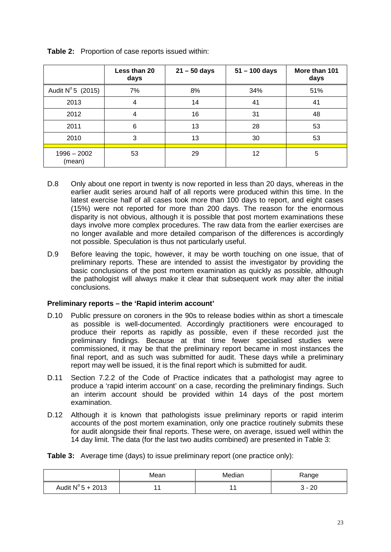|                            | Less than 20<br>days | $21 - 50$ days | $51 - 100$ days | More than 101<br>days |
|----------------------------|----------------------|----------------|-----------------|-----------------------|
| Audit $N^{\circ} 5$ (2015) | 7%                   | 8%             | 34%             | 51%                   |
| 2013                       | 4                    | 14             | 41              | 41                    |
| 2012                       | 4                    | 16             | 31              | 48                    |
| 2011                       | 6                    | 13             | 28              | 53                    |
| 2010                       | 3                    | 13             | 30              | 53                    |
| $1996 - 2002$<br>(mean)    | 53                   | 29             | 12              | 5                     |

**Table 2:** Proportion of case reports issued within:

- D.8 Only about one report in twenty is now reported in less than 20 days, whereas in the earlier audit series around half of all reports were produced within this time. In the latest exercise half of all cases took more than 100 days to report, and eight cases (15%) were not reported for more than 200 days. The reason for the enormous disparity is not obvious, although it is possible that post mortem examinations these days involve more complex procedures. The raw data from the earlier exercises are no longer available and more detailed comparison of the differences is accordingly not possible. Speculation is thus not particularly useful.
- D.9 Before leaving the topic, however, it may be worth touching on one issue, that of preliminary reports. These are intended to assist the investigator by providing the basic conclusions of the post mortem examination as quickly as possible, although the pathologist will always make it clear that subsequent work may alter the initial conclusions.

#### **Preliminary reports – the 'Rapid interim account'**

- D.10 Public pressure on coroners in the 90s to release bodies within as short a timescale as possible is well-documented. Accordingly practitioners were encouraged to produce their reports as rapidly as possible, even if these recorded just the preliminary findings. Because at that time fewer specialised studies were commissioned, it may be that the preliminary report became in most instances the final report, and as such was submitted for audit. These days while a preliminary report may well be issued, it is the final report which is submitted for audit.
- D.11 Section 7.2.2 of the Code of Practice indicates that a pathologist may agree to produce a 'rapid interim account' on a case, recording the preliminary findings. Such an interim account should be provided within 14 days of the post mortem examination.
- D.12 Although it is known that pathologists issue preliminary reports or rapid interim accounts of the post mortem examination, only one practice routinely submits these for audit alongside their final reports. These were, on average, issued well within the 14 day limit. The data (for the last two audits combined) are presented in Table 3:

**Table 3:** Average time (days) to issue preliminary report (one practice only):

|                            | Mean | Median | Range |
|----------------------------|------|--------|-------|
| Audit $N^{\circ}$ 5 + 2013 |      |        | 20    |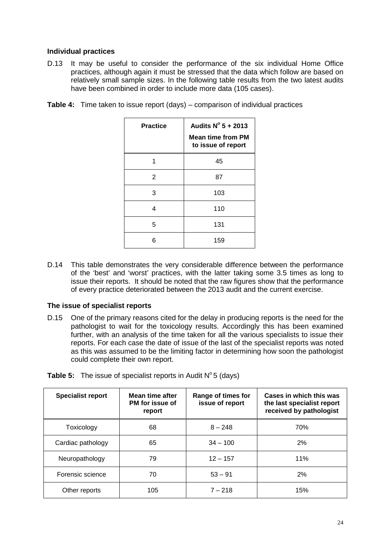#### **Individual practices**

D.13 It may be useful to consider the performance of the six individual Home Office practices, although again it must be stressed that the data which follow are based on relatively small sample sizes. In the following table results from the two latest audits have been combined in order to include more data (105 cases).

| <b>Practice</b> | Audits $N^{\circ}$ 5 + 2013<br><b>Mean time from PM</b><br>to issue of report |
|-----------------|-------------------------------------------------------------------------------|
| 1               | 45                                                                            |
| 2               | 87                                                                            |
| 3               | 103                                                                           |
| 4               | 110                                                                           |
| 5               | 131                                                                           |
| 6               | 159                                                                           |

**Table 4:** Time taken to issue report (days) – comparison of individual practices

D.14 This table demonstrates the very considerable difference between the performance of the 'best' and 'worst' practices, with the latter taking some 3.5 times as long to issue their reports. It should be noted that the raw figures show that the performance of every practice deteriorated between the 2013 audit and the current exercise.

#### **The issue of specialist reports**

D.15 One of the primary reasons cited for the delay in producing reports is the need for the pathologist to wait for the toxicology results. Accordingly this has been examined further, with an analysis of the time taken for all the various specialists to issue their reports. For each case the date of issue of the last of the specialist reports was noted as this was assumed to be the limiting factor in determining how soon the pathologist could complete their own report.

| <b>Specialist report</b> | Mean time after<br>PM for issue of<br>report | Range of times for<br>issue of report | Cases in which this was<br>the last specialist report<br>received by pathologist |
|--------------------------|----------------------------------------------|---------------------------------------|----------------------------------------------------------------------------------|
| Toxicology               | 68                                           | $8 - 248$                             | 70%                                                                              |
| Cardiac pathology        | 65                                           | $34 - 100$                            | 2%                                                                               |
| Neuropathology           | 79                                           | $12 - 157$                            | 11%                                                                              |
| Forensic science         | 70                                           | $53 - 91$                             | 2%                                                                               |
| Other reports            | 105                                          | $7 - 218$                             | 15%                                                                              |

**Table 5:** The issue of specialist reports in Audit N° 5 (days)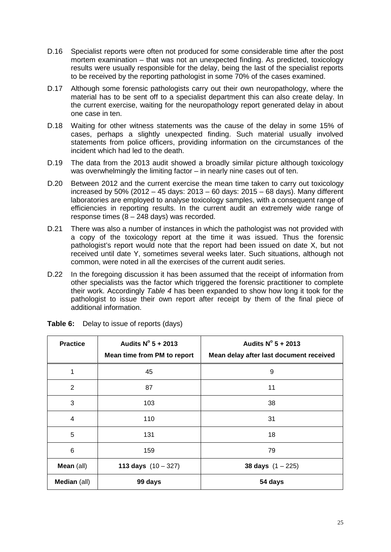- D.16 Specialist reports were often not produced for some considerable time after the post mortem examination – that was not an unexpected finding. As predicted, toxicology results were usually responsible for the delay, being the last of the specialist reports to be received by the reporting pathologist in some 70% of the cases examined.
- D.17 Although some forensic pathologists carry out their own neuropathology, where the material has to be sent off to a specialist department this can also create delay. In the current exercise, waiting for the neuropathology report generated delay in about one case in ten.
- D.18 Waiting for other witness statements was the cause of the delay in some 15% of cases, perhaps a slightly unexpected finding. Such material usually involved statements from police officers, providing information on the circumstances of the incident which had led to the death.
- D.19 The data from the 2013 audit showed a broadly similar picture although toxicology was overwhelmingly the limiting factor – in nearly nine cases out of ten.
- D.20 Between 2012 and the current exercise the mean time taken to carry out toxicology increased by 50% (2012 – 45 days: 2013 – 60 days: 2015 – 68 days). Many different laboratories are employed to analyse toxicology samples, with a consequent range of efficiencies in reporting results. In the current audit an extremely wide range of response times  $(8 - 248 \text{ days})$  was recorded.
- D.21 There was also a number of instances in which the pathologist was not provided with a copy of the toxicology report at the time it was issued. Thus the forensic pathologist's report would note that the report had been issued on date X, but not received until date Y, sometimes several weeks later. Such situations, although not common, were noted in all the exercises of the current audit series.
- D.22 In the foregoing discussion it has been assumed that the receipt of information from other specialists was the factor which triggered the forensic practitioner to complete their work. Accordingly *Table 4* has been expanded to show how long it took for the pathologist to issue their own report after receipt by them of the final piece of additional information.

| <b>Practice</b> | Audits $N^{\circ}$ 5 + 2013<br>Mean time from PM to report | Audits $N^{\circ}$ 5 + 2013<br>Mean delay after last document received |
|-----------------|------------------------------------------------------------|------------------------------------------------------------------------|
| 1               | 45                                                         | 9                                                                      |
| $\overline{2}$  | 87                                                         | 11                                                                     |
| 3               | 103                                                        | 38                                                                     |
| 4               | 110                                                        | 31                                                                     |
| 5               | 131                                                        | 18                                                                     |
| 6               | 159                                                        | 79                                                                     |
| Mean (all)      | 113 days $(10 - 327)$                                      | 38 days $(1 - 225)$                                                    |
| Median (all)    | 99 days                                                    | 54 days                                                                |

**Table 6:** Delay to issue of reports (days)